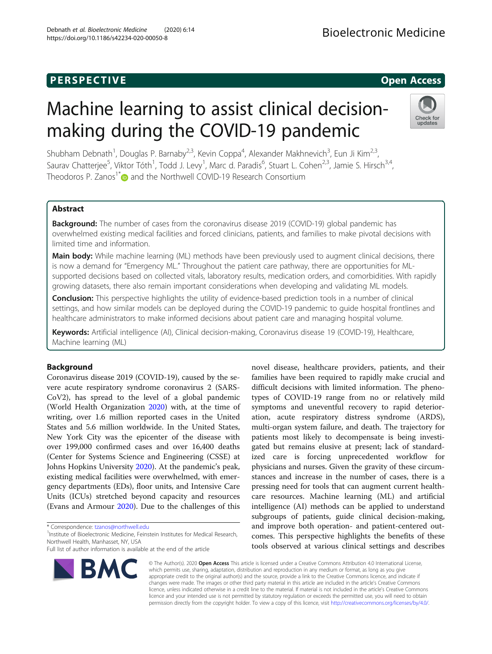# Machine learning to assist clinical decisionmaking during the COVID-19 pandemic

Shubham Debnath<sup>1</sup>, Douglas P. Barnaby<sup>2,3</sup>, Kevin Coppa<sup>4</sup>, Alexander Makhnevich<sup>3</sup>, Eun Ji Kim<sup>2,3</sup>, Saurav Chatterjee<sup>5</sup>, Viktor Tóth<sup>1</sup>, Todd J. Levy<sup>1</sup>, Marc d. Paradis<sup>6</sup>, Stuart L. Cohen<sup>2,3</sup>, Jamie S. Hirsch<sup>3,4</sup>, Theodoros P. Zanos<sup>1[\\*](http://orcid.org/0000-0002-9204-9551)</sup> and the Northwell COVID-19 Research Consortium

# Abstract

**Background:** The number of cases from the coronavirus disease 2019 (COVID-19) global pandemic has overwhelmed existing medical facilities and forced clinicians, patients, and families to make pivotal decisions with limited time and information.

Main body: While machine learning (ML) methods have been previously used to augment clinical decisions, there is now a demand for "Emergency ML." Throughout the patient care pathway, there are opportunities for MLsupported decisions based on collected vitals, laboratory results, medication orders, and comorbidities. With rapidly growing datasets, there also remain important considerations when developing and validating ML models.

Conclusion: This perspective highlights the utility of evidence-based prediction tools in a number of clinical settings, and how similar models can be deployed during the COVID-19 pandemic to guide hospital frontlines and healthcare administrators to make informed decisions about patient care and managing hospital volume.

Keywords: Artificial intelligence (AI), Clinical decision-making, Coronavirus disease 19 (COVID-19), Healthcare, Machine learning (ML)

# Background

Coronavirus disease 2019 (COVID-19), caused by the severe acute respiratory syndrome coronavirus 2 (SARS-CoV2), has spread to the level of a global pandemic (World Health Organization [2020](#page-6-0)) with, at the time of writing, over 1.6 million reported cases in the United States and 5.6 million worldwide. In the United States, New York City was the epicenter of the disease with over 199,000 confirmed cases and over 16,400 deaths (Center for Systems Science and Engineering (CSSE) at Johns Hopkins University [2020\)](#page-5-0). At the pandemic's peak, existing medical facilities were overwhelmed, with emergency departments (EDs), floor units, and Intensive Care Units (ICUs) stretched beyond capacity and resources (Evans and Armour [2020\)](#page-6-0). Due to the challenges of this

\* Correspondence: [tzanos@northwell.edu](mailto:tzanos@northwell.edu) <sup>1</sup>

<sup>1</sup> Institute of Bioelectronic Medicine, Feinstein Institutes for Medical Research, Northwell Health, Manhasset, NY, USA

Full list of author information is available at the end of the article

families have been required to rapidly make crucial and difficult decisions with limited information. The phenotypes of COVID-19 range from no or relatively mild symptoms and uneventful recovery to rapid deterioration, acute respiratory distress syndrome (ARDS), multi-organ system failure, and death. The trajectory for patients most likely to decompensate is being investigated but remains elusive at present; lack of standardized care is forcing unprecedented workflow for physicians and nurses. Given the gravity of these circumstances and increase in the number of cases, there is a pressing need for tools that can augment current healthcare resources. Machine learning (ML) and artificial intelligence (AI) methods can be applied to understand subgroups of patients, guide clinical decision-making, and improve both operation- and patient-centered outcomes. This perspective highlights the benefits of these tools observed at various clinical settings and describes

novel disease, healthcare providers, patients, and their

© The Author(s). 2020 Open Access This article is licensed under a Creative Commons Attribution 4.0 International License, which permits use, sharing, adaptation, distribution and reproduction in any medium or format, as long as you give appropriate credit to the original author(s) and the source, provide a link to the Creative Commons licence, and indicate if changes were made. The images or other third party material in this article are included in the article's Creative Commons licence, unless indicated otherwise in a credit line to the material. If material is not included in the article's Creative Commons licence and your intended use is not permitted by statutory regulation or exceeds the permitted use, you will need to obtain permission directly from the copyright holder. To view a copy of this licence, visit [http://creativecommons.org/licenses/by/4.0/.](http://creativecommons.org/licenses/by/4.0/)





Check for undates

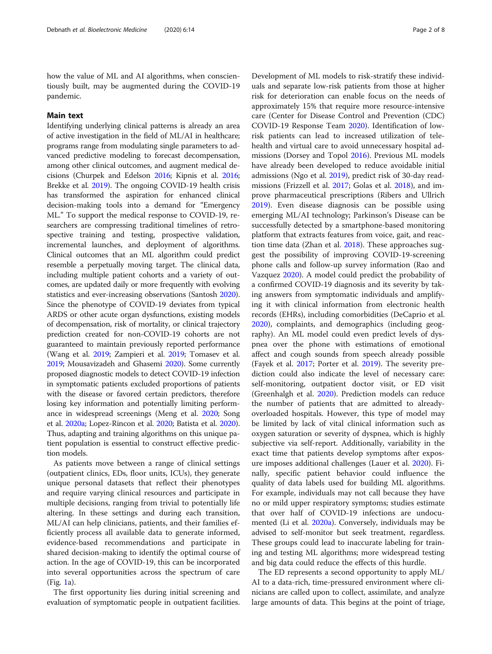how the value of ML and AI algorithms, when conscientiously built, may be augmented during the COVID-19 pandemic.

# Main text

Identifying underlying clinical patterns is already an area of active investigation in the field of ML/AI in healthcare; programs range from modulating single parameters to advanced predictive modeling to forecast decompensation, among other clinical outcomes, and augment medical decisions (Churpek and Edelson [2016](#page-6-0); Kipnis et al. [2016](#page-6-0); Brekke et al. [2019](#page-5-0)). The ongoing COVID-19 health crisis has transformed the aspiration for enhanced clinical decision-making tools into a demand for "Emergency ML." To support the medical response to COVID-19, researchers are compressing traditional timelines of retrospective training and testing, prospective validation, incremental launches, and deployment of algorithms. Clinical outcomes that an ML algorithm could predict resemble a perpetually moving target. The clinical data, including multiple patient cohorts and a variety of outcomes, are updated daily or more frequently with evolving statistics and ever-increasing observations (Santosh [2020](#page-6-0)). Since the phenotype of COVID-19 deviates from typical ARDS or other acute organ dysfunctions, existing models of decompensation, risk of mortality, or clinical trajectory prediction created for non-COVID-19 cohorts are not guaranteed to maintain previously reported performance (Wang et al. [2019](#page-6-0); Zampieri et al. [2019](#page-7-0); Tomasev et al. [2019;](#page-6-0) Mousavizadeh and Ghasemi [2020](#page-6-0)). Some currently proposed diagnostic models to detect COVID-19 infection in symptomatic patients excluded proportions of patients with the disease or favored certain predictors, therefore losing key information and potentially limiting performance in widespread screenings (Meng et al. [2020;](#page-6-0) Song et al. [2020a;](#page-6-0) Lopez-Rincon et al. [2020;](#page-6-0) Batista et al. [2020](#page-5-0)). Thus, adapting and training algorithms on this unique patient population is essential to construct effective prediction models.

As patients move between a range of clinical settings (outpatient clinics, EDs, floor units, ICUs), they generate unique personal datasets that reflect their phenotypes and require varying clinical resources and participate in multiple decisions, ranging from trivial to potentially life altering. In these settings and during each transition, ML/AI can help clinicians, patients, and their families efficiently process all available data to generate informed, evidence-based recommendations and participate in shared decision-making to identify the optimal course of action. In the age of COVID-19, this can be incorporated into several opportunities across the spectrum of care (Fig. [1](#page-3-0)a).

The first opportunity lies during initial screening and evaluation of symptomatic people in outpatient facilities.

Development of ML models to risk-stratify these individuals and separate low-risk patients from those at higher risk for deterioration can enable focus on the needs of approximately 15% that require more resource-intensive care (Center for Disease Control and Prevention (CDC) COVID-19 Response Team [2020\)](#page-5-0). Identification of lowrisk patients can lead to increased utilization of telehealth and virtual care to avoid unnecessary hospital admissions (Dorsey and Topol [2016](#page-6-0)). Previous ML models have already been developed to reduce avoidable initial admissions (Ngo et al. [2019](#page-6-0)), predict risk of 30-day readmissions (Frizzell et al. [2017](#page-6-0); Golas et al. [2018](#page-6-0)), and improve pharmaceutical prescriptions (Ribers and Ullrich [2019](#page-6-0)). Even disease diagnosis can be possible using emerging ML/AI technology; Parkinson's Disease can be successfully detected by a smartphone-based monitoring platform that extracts features from voice, gait, and reaction time data (Zhan et al. [2018](#page-7-0)). These approaches suggest the possibility of improving COVID-19-screening phone calls and follow-up survey information (Rao and Vazquez [2020](#page-6-0)). A model could predict the probability of a confirmed COVID-19 diagnosis and its severity by taking answers from symptomatic individuals and amplifying it with clinical information from electronic health records (EHRs), including comorbidities (DeCaprio et al. [2020](#page-6-0)), complaints, and demographics (including geography). An ML model could even predict levels of dyspnea over the phone with estimations of emotional affect and cough sounds from speech already possible (Fayek et al. [2017;](#page-6-0) Porter et al. [2019\)](#page-6-0). The severity prediction could also indicate the level of necessary care: self-monitoring, outpatient doctor visit, or ED visit (Greenhalgh et al. [2020\)](#page-6-0). Prediction models can reduce the number of patients that are admitted to alreadyoverloaded hospitals. However, this type of model may be limited by lack of vital clinical information such as oxygen saturation or severity of dyspnea, which is highly subjective via self-report. Additionally, variability in the exact time that patients develop symptoms after exposure imposes additional challenges (Lauer et al. [2020\)](#page-6-0). Finally, specific patient behavior could influence the quality of data labels used for building ML algorithms. For example, individuals may not call because they have no or mild upper respiratory symptoms; studies estimate that over half of COVID-19 infections are undocumented (Li et al. [2020a\)](#page-6-0). Conversely, individuals may be advised to self-monitor but seek treatment, regardless. These groups could lead to inaccurate labeling for training and testing ML algorithms; more widespread testing and big data could reduce the effects of this hurdle.

The ED represents a second opportunity to apply ML/ AI to a data-rich, time-pressured environment where clinicians are called upon to collect, assimilate, and analyze large amounts of data. This begins at the point of triage,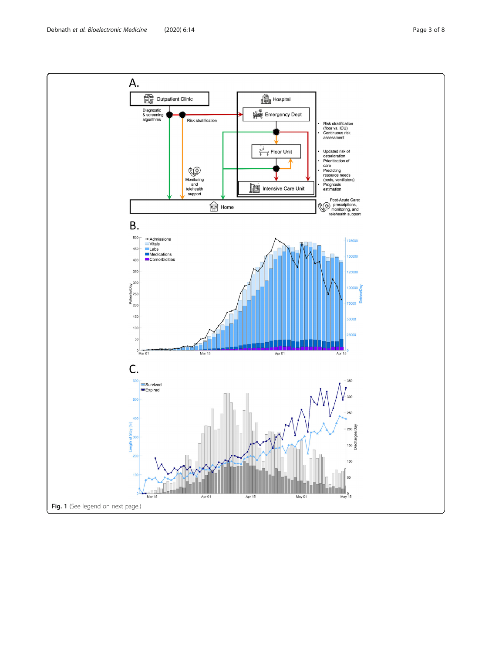Debnath et al. Bioelectronic Medicine (2020) 6:14 Page 3 of 8

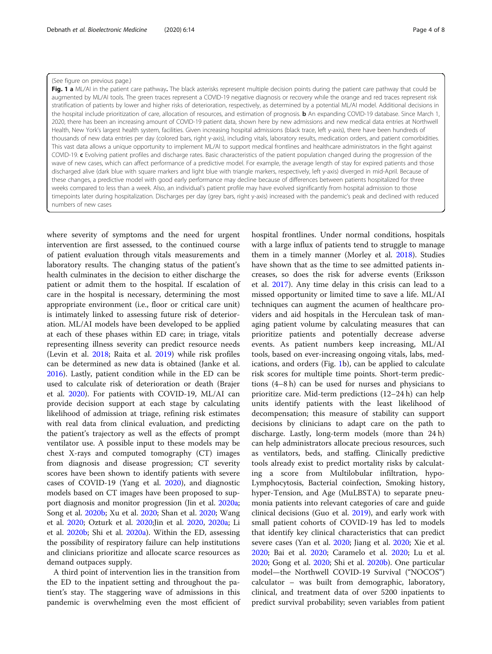#### <span id="page-3-0"></span>(See figure on previous page.)

Fig. 1 a ML/AI in the patient care pathway. The black asterisks represent multiple decision points during the patient care pathway that could be augmented by ML/AI tools. The green traces represent a COVID-19 negative diagnosis or recovery while the orange and red traces represent risk stratification of patients by lower and higher risks of deterioration, respectively, as determined by a potential ML/AI model. Additional decisions in the hospital include prioritization of care, allocation of resources, and estimation of prognosis. **b** An expanding COVID-19 database. Since March 1, 2020, there has been an increasing amount of COVID-19 patient data, shown here by new admissions and new medical data entries at Northwell Health, New York's largest health system, facilities. Given increasing hospital admissions (black trace, left y-axis), there have been hundreds of thousands of new data entries per day (colored bars, right y-axis), including vitals, laboratory results, medication orders, and patient comorbidities. This vast data allows a unique opportunity to implement ML/AI to support medical frontlines and healthcare administrators in the fight against COVID-19. c Evolving patient profiles and discharge rates. Basic characteristics of the patient population changed during the progression of the wave of new cases, which can affect performance of a predictive model. For example, the average length of stay for expired patients and those discharged alive (dark blue with square markers and light blue with triangle markers, respectively, left y-axis) diverged in mid-April. Because of these changes, a predictive model with good early performance may decline because of differences between patients hospitalized for three weeks compared to less than a week. Also, an individual's patient profile may have evolved significantly from hospital admission to those timepoints later during hospitalization. Discharges per day (grey bars, right y-axis) increased with the pandemic's peak and declined with reduced numbers of new cases

where severity of symptoms and the need for urgent intervention are first assessed, to the continued course of patient evaluation through vitals measurements and laboratory results. The changing status of the patient's health culminates in the decision to either discharge the patient or admit them to the hospital. If escalation of care in the hospital is necessary, determining the most appropriate environment (i.e., floor or critical care unit) is intimately linked to assessing future risk of deterioration. ML/AI models have been developed to be applied at each of these phases within ED care; in triage, vitals representing illness severity can predict resource needs (Levin et al. [2018](#page-6-0); Raita et al. [2019\)](#page-6-0) while risk profiles can be determined as new data is obtained (Janke et al. [2016](#page-6-0)). Lastly, patient condition while in the ED can be used to calculate risk of deterioration or death (Brajer et al. [2020\)](#page-5-0). For patients with COVID-19, ML/AI can provide decision support at each stage by calculating likelihood of admission at triage, refining risk estimates with real data from clinical evaluation, and predicting the patient's trajectory as well as the effects of prompt ventilator use. A possible input to these models may be chest X-rays and computed tomography (CT) images from diagnosis and disease progression; CT severity scores have been shown to identify patients with severe cases of COVID-19 (Yang et al. [2020](#page-7-0)), and diagnostic models based on CT images have been proposed to support diagnosis and monitor progression (Jin et al. [2020a](#page-6-0); Song et al. [2020b;](#page-6-0) Xu et al. [2020](#page-7-0); Shan et al. [2020;](#page-6-0) Wang et al. [2020](#page-6-0); Ozturk et al. [2020;](#page-6-0)Jin et al. [2020](#page-6-0), [2020a](#page-6-0); Li et al. [2020b;](#page-6-0) Shi et al. [2020a\)](#page-6-0). Within the ED, assessing the possibility of respiratory failure can help institutions and clinicians prioritize and allocate scarce resources as demand outpaces supply.

A third point of intervention lies in the transition from the ED to the inpatient setting and throughout the patient's stay. The staggering wave of admissions in this pandemic is overwhelming even the most efficient of hospital frontlines. Under normal conditions, hospitals with a large influx of patients tend to struggle to manage them in a timely manner (Morley et al. [2018](#page-6-0)). Studies have shown that as the time to see admitted patients increases, so does the risk for adverse events (Eriksson et al. [2017](#page-6-0)). Any time delay in this crisis can lead to a missed opportunity or limited time to save a life. ML/AI techniques can augment the acumen of healthcare providers and aid hospitals in the Herculean task of managing patient volume by calculating measures that can prioritize patients and potentially decrease adverse events. As patient numbers keep increasing, ML/AI tools, based on ever-increasing ongoing vitals, labs, medications, and orders (Fig. 1b), can be applied to calculate risk scores for multiple time points. Short-term predictions (4–8 h) can be used for nurses and physicians to prioritize care. Mid-term predictions (12–24 h) can help units identify patients with the least likelihood of decompensation; this measure of stability can support decisions by clinicians to adapt care on the path to discharge. Lastly, long-term models (more than 24 h) can help administrators allocate precious resources, such as ventilators, beds, and staffing. Clinically predictive tools already exist to predict mortality risks by calculating a score from Multilobular infiltration, hypo-Lymphocytosis, Bacterial coinfection, Smoking history, hyper-Tension, and Age (MuLBSTA) to separate pneumonia patients into relevant categories of care and guide clinical decisions (Guo et al. [2019\)](#page-6-0), and early work with small patient cohorts of COVID-19 has led to models that identify key clinical characteristics that can predict severe cases (Yan et al. [2020](#page-7-0); Jiang et al. [2020;](#page-6-0) Xie et al. [2020](#page-6-0); Bai et al. [2020;](#page-5-0) Caramelo et al. [2020;](#page-5-0) Lu et al. [2020](#page-6-0); Gong et al. [2020](#page-6-0); Shi et al. [2020b](#page-6-0)). One particular model—the Northwell COVID-19 Survival ("NOCOS") calculator – was built from demographic, laboratory, clinical, and treatment data of over 5200 inpatients to predict survival probability; seven variables from patient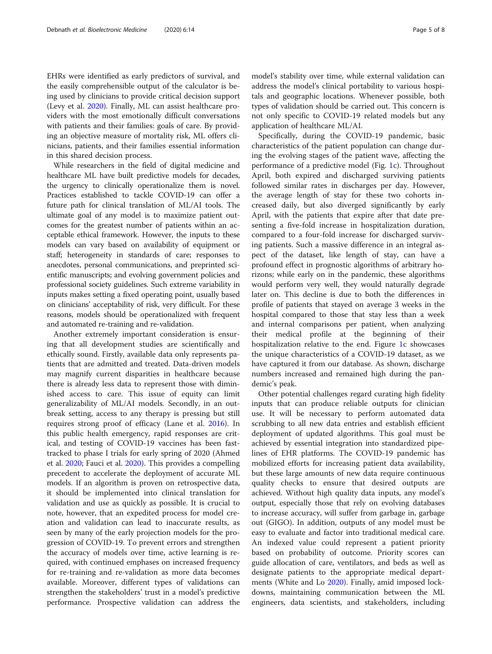EHRs were identified as early predictors of survival, and the easily comprehensible output of the calculator is being used by clinicians to provide critical decision support (Levy et al. [2020](#page-6-0)). Finally, ML can assist healthcare providers with the most emotionally difficult conversations with patients and their families: goals of care. By providing an objective measure of mortality risk, ML offers clinicians, patients, and their families essential information in this shared decision process.

While researchers in the field of digital medicine and healthcare ML have built predictive models for decades, the urgency to clinically operationalize them is novel. Practices established to tackle COVID-19 can offer a future path for clinical translation of ML/AI tools. The ultimate goal of any model is to maximize patient outcomes for the greatest number of patients within an acceptable ethical framework. However, the inputs to these models can vary based on availability of equipment or staff; heterogeneity in standards of care; responses to anecdotes, personal communications, and preprinted scientific manuscripts; and evolving government policies and professional society guidelines. Such extreme variability in inputs makes setting a fixed operating point, usually based on clinicians' acceptability of risk, very difficult. For these reasons, models should be operationalized with frequent and automated re-training and re-validation.

Another extremely important consideration is ensuring that all development studies are scientifically and ethically sound. Firstly, available data only represents patients that are admitted and treated. Data-driven models may magnify current disparities in healthcare because there is already less data to represent those with diminished access to care. This issue of equity can limit generalizability of ML/AI models. Secondly, in an outbreak setting, access to any therapy is pressing but still requires strong proof of efficacy (Lane et al. [2016\)](#page-6-0). In this public health emergency, rapid responses are critical, and testing of COVID-19 vaccines has been fasttracked to phase I trials for early spring of 2020 (Ahmed et al. [2020;](#page-5-0) Fauci et al. [2020](#page-6-0)). This provides a compelling precedent to accelerate the deployment of accurate ML models. If an algorithm is proven on retrospective data, it should be implemented into clinical translation for validation and use as quickly as possible. It is crucial to note, however, that an expedited process for model creation and validation can lead to inaccurate results, as seen by many of the early projection models for the progression of COVID-19. To prevent errors and strengthen the accuracy of models over time, active learning is required, with continued emphases on increased frequency for re-training and re-validation as more data becomes available. Moreover, different types of validations can strengthen the stakeholders' trust in a model's predictive performance. Prospective validation can address the model's stability over time, while external validation can address the model's clinical portability to various hospitals and geographic locations. Whenever possible, both types of validation should be carried out. This concern is not only specific to COVID-19 related models but any application of healthcare ML/AI.

Specifically, during the COVID-19 pandemic, basic characteristics of the patient population can change during the evolving stages of the patient wave, affecting the performance of a predictive model (Fig. [1](#page-3-0)c). Throughout April, both expired and discharged surviving patients followed similar rates in discharges per day. However, the average length of stay for these two cohorts increased daily, but also diverged significantly by early April, with the patients that expire after that date presenting a five-fold increase in hospitalization duration, compared to a four-fold increase for discharged surviving patients. Such a massive difference in an integral aspect of the dataset, like length of stay, can have a profound effect in prognostic algorithms of arbitrary horizons; while early on in the pandemic, these algorithms would perform very well, they would naturally degrade later on. This decline is due to both the differences in profile of patients that stayed on average 3 weeks in the hospital compared to those that stay less than a week and internal comparisons per patient, when analyzing their medical profile at the beginning of their hospitalization relative to the end. Figure [1](#page-3-0)c showcases the unique characteristics of a COVID-19 dataset, as we have captured it from our database. As shown, discharge numbers increased and remained high during the pandemic's peak.

Other potential challenges regard curating high fidelity inputs that can produce reliable outputs for clinician use. It will be necessary to perform automated data scrubbing to all new data entries and establish efficient deployment of updated algorithms. This goal must be achieved by essential integration into standardized pipelines of EHR platforms. The COVID-19 pandemic has mobilized efforts for increasing patient data availability, but these large amounts of new data require continuous quality checks to ensure that desired outputs are achieved. Without high quality data inputs, any model's output, especially those that rely on evolving databases to increase accuracy, will suffer from garbage in, garbage out (GIGO). In addition, outputs of any model must be easy to evaluate and factor into traditional medical care. An indexed value could represent a patient priority based on probability of outcome. Priority scores can guide allocation of care, ventilators, and beds as well as designate patients to the appropriate medical departments (White and Lo [2020](#page-6-0)). Finally, amid imposed lockdowns, maintaining communication between the ML engineers, data scientists, and stakeholders, including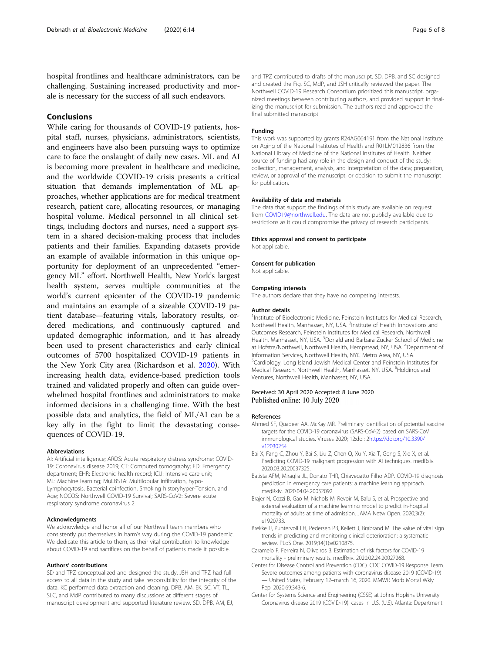<span id="page-5-0"></span>hospital frontlines and healthcare administrators, can be challenging. Sustaining increased productivity and morale is necessary for the success of all such endeavors.

# Conclusions

While caring for thousands of COVID-19 patients, hospital staff, nurses, physicians, administrators, scientists, and engineers have also been pursuing ways to optimize care to face the onslaught of daily new cases. ML and AI is becoming more prevalent in healthcare and medicine, and the worldwide COVID-19 crisis presents a critical situation that demands implementation of ML approaches, whether applications are for medical treatment research, patient care, allocating resources, or managing hospital volume. Medical personnel in all clinical settings, including doctors and nurses, need a support system in a shared decision-making process that includes patients and their families. Expanding datasets provide an example of available information in this unique opportunity for deployment of an unprecedented "emergency ML" effort. Northwell Health, New York's largest health system, serves multiple communities at the world's current epicenter of the COVID-19 pandemic and maintains an example of a sizeable COVID-19 patient database—featuring vitals, laboratory results, ordered medications, and continuously captured and updated demographic information, and it has already been used to present characteristics and early clinical outcomes of 5700 hospitalized COVID-19 patients in the New York City area (Richardson et al. [2020](#page-6-0)). With increasing health data, evidence-based prediction tools trained and validated properly and often can guide overwhelmed hospital frontlines and administrators to make informed decisions in a challenging time. With the best possible data and analytics, the field of ML/AI can be a key ally in the fight to limit the devastating consequences of COVID-19.

#### Abbreviations

AI: Artificial intelligence; ARDS: Acute respiratory distress syndrome; COVID-19: Coronavirus disease 2019; CT: Computed tomography; ED: Emergency department; EHR: Electronic health record; ICU: Intensive care unit; ML: Machine learning; MuLBSTA: Multilobular infiltration, hypo-Lymphocytosis, Bacterial coinfection, Smoking historyhyper-Tension, and Age; NOCOS: Northwell COVID-19 Survival; SARS-CoV2: Severe acute respiratory syndrome coronavirus 2

#### Acknowledgments

We acknowledge and honor all of our Northwell team members who consistently put themselves in harm's way during the COVID-19 pandemic. We dedicate this article to them, as their vital contribution to knowledge about COVID-19 and sacrifices on the behalf of patients made it possible.

#### Authors' contributions

SD and TPZ conceptualized and designed the study. JSH and TPZ had full access to all data in the study and take responsibility for the integrity of the data. KC performed data extraction and cleaning. DPB, AM, EK, SC, VT, TL, SLC, and MdP contributed to many discussions at different stages of manuscript development and supported literature review. SD, DPB, AM, EJ,

and TPZ contributed to drafts of the manuscript. SD, DPB, and SC designed and created the Fig. SC, MdP, and JSH critically reviewed the paper. The Northwell COVID-19 Research Consortium prioritized this manuscript, organized meetings between contributing authors, and provided support in finalizing the manuscript for submission. The authors read and approved the final submitted manuscript.

#### Funding

This work was supported by grants R24AG064191 from the National Institute on Aging of the National Institutes of Health and R01LM012836 from the National Library of Medicine of the National Institutes of Health. Neither source of funding had any role in the design and conduct of the study; collection, management, analysis, and interpretation of the data; preparation, review, or approval of the manuscript; or decision to submit the manuscript for publication.

#### Availability of data and materials

The data that support the findings of this study are available on request from [COVID19@northwell.edu](mailto:COVID19@northwell.edu). The data are not publicly available due to restrictions as it could compromise the privacy of research participants.

#### Ethics approval and consent to participate

Not applicable.

#### Consent for publication

Not applicable.

#### Competing interests

The authors declare that they have no competing interests.

#### Author details

<sup>1</sup>Institute of Bioelectronic Medicine, Feinstein Institutes for Medical Research Northwell Health, Manhasset, NY, USA. <sup>2</sup>Institute of Health Innovations and Outcomes Research, Feinstein Institutes for Medical Research, Northwell Health, Manhasset, NY, USA. <sup>3</sup>Donald and Barbara Zucker School of Medicine at Hofstra/Northwell, Northwell Health, Hempstead, NY, USA. <sup>4</sup>Department of Information Services, Northwell Health, NYC Metro Area, NY, USA. 5 Cardiology, Long Island Jewish Medical Center and Feinstein Institutes for Medical Research, Northwell Health, Manhasset, NY, USA. <sup>6</sup>Holdings and Ventures, Northwell Health, Manhasset, NY, USA.

### Received: 30 April 2020 Accepted: 8 June 2020 Published online: 10 July 2020

#### References

- Ahmed SF, Quadeer AA, McKay MR. Preliminary identification of potential vaccine targets for the COVID-19 coronavirus (SARS-CoV-2) based on SARS-CoV immunological studies. Viruses 2020; 12:doi: [2https://doi.org/10.3390/](https://doi.org/10.3390/v12030254) [v12030254](https://doi.org/10.3390/v12030254).
- Bai X, Fang C, Zhou Y, Bai S, Liu Z, Chen Q, Xu Y, Xia T, Gong S, Xie X, et al. Predicting COVID-19 malignant progression with AI techniques. medRxiv. 2020.03.20.20037325.
- Batista AFM, Miraglia JL, Donato THR, Chiavegatto Filho ADP. COVID-19 diagnosis prediction in emergency care patients: a machine learning approach. medRxiv. 2020.04.04.20052092.
- Brajer N, Cozzi B, Gao M, Nichols M, Revoir M, Balu S, et al. Prospective and external evaluation of a machine learning model to predict in-hospital mortality of adults at time of admission. JAMA Netw Open. 2020;3(2): e1920733.
- Brekke IJ, Puntervoll LH, Pedersen PB, Kellett J, Brabrand M. The value of vital sign trends in predicting and monitoring clinical deterioration: a systematic review. PLoS One. 2019;14(1):e0210875.
- Caramelo F, Ferreira N, Oliveiros B. Estimation of risk factors for COVID-19 mortality - preliminary results. medRxiv. 2020.02.24.20027268.
- Center for Disease Control and Prevention (CDC). CDC COVID-19 Response Team. Severe outcomes among patients with coronavirus disease 2019 (COVID-19) — United States, February 12–march 16, 2020. MMWR Morb Mortal Wkly Rep. 2020;69:343-6.
- Center for Systems Science and Engineering (CSSE) at Johns Hopkins University. Coronavirus disease 2019 (COVID-19): cases in U.S. (U.S). Atlanta: Department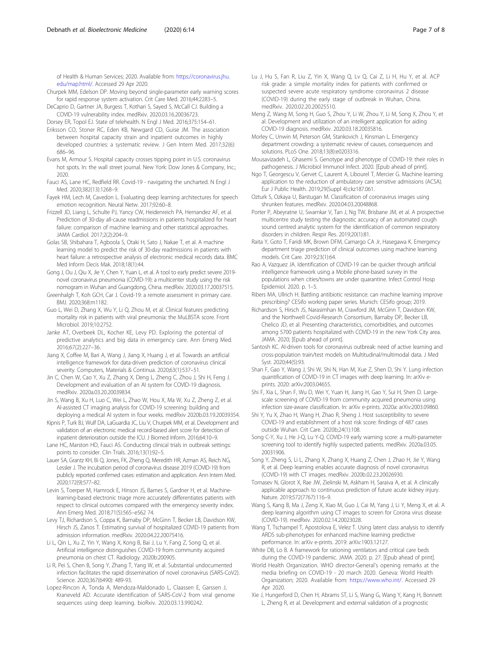<span id="page-6-0"></span>of Health & Human Services; 2020. Available from: [https://coronavirus.jhu.](https://coronavirus.jhu.edu/map.html/) [edu/map.html/.](https://coronavirus.jhu.edu/map.html/) Accessed 29 Apr 2020.

Churpek MM, Edelson DP. Moving beyond single-parameter early warning scores for rapid response system activation. Crit Care Med. 2016;44:2283–5.

DeCaprio D, Gartner JA, Burgess T, Kothari S, Sayed S, McCall CJ. Building a COVID-19 vulnerability index. medRxiv. 2020.03.16.20036723.

Dorsey ER, Topol EJ. State of telehealth. N Engl J Med. 2016;375:154–61.

- Eriksson CO, Stoner RC, Eden KB, Newgard CD, Guise JM. The association between hospital capacity strain and inpatient outcomes in highly developed countries: a systematic review. J Gen Intern Med. 2017;32(6): 686–96.
- Evans M, Armour S. Hospital capacity crosses tipping point in U.S. coronavirus hot spots. In: the wall street journal. New York: Dow Jones & Company, Inc.; 2020.
- Fauci AS, Lane HC, Redfield RR. Covid-19 navigating the uncharted. N Engl J Med. 2020;382(13):1268–9.
- Fayek HM, Lech M, Cavedon L. Evaluating deep learning architectures for speech emotion recognition. Neural Netw. 2017;92:60–8.
- Frizzell JD, Liang L, Schulte PJ, Yancy CW, Heidenreich PA, Hernandez AF, et al. Prediction of 30-day all-cause readmissions in patients hospitalized for heart failure: comparison of machine learning and other statistical approaches. JAMA Cardiol. 2017;2(2):204–9.
- Golas SB, Shibahara T, Agboola S, Otaki H, Sato J, Nakae T, et al. A machine learning model to predict the risk of 30-day readmissions in patients with heart failure: a retrospective analysis of electronic medical records data. BMC Med Inform Decis Mak. 2018;18(1):44.
- Gong J, Ou J, Qiu X, Jie Y, Chen Y, Yuan L, et al. A tool to early predict severe 2019 novel coronavirus pneumonia (COVID-19): a multicenter study using the risk nomogram in Wuhan and Guangdong, China. medRxiv. 2020.03.17.20037515.
- Greenhalgh T, Koh GCH, Car J. Covid-19: a remote assessment in primary care. BMJ. 2020;368:m1182.
- Guo L, Wei D, Zhang X, Wu Y, Li Q, Zhou M, et al. Clinical features predicting mortality risk in patients with viral pneumonia: the MuLBSTA score. Front Microbiol. 2019;10:2752.
- Janke AT, Overbeek DL, Kocher KE, Levy PD. Exploring the potential of predictive analytics and big data in emergency care. Ann Emerg Med. 2016;67(2):227–36.
- Jiang X, Coffee M, Bari A, Wang J, Jiang X, Huang J, et al. Towards an artificial intelligence framework for data-driven prediction of coronavirus clinical severity. Computers, Materials & Continua. 2020;63(1):537–51.
- Jin C, Chen W, Cao Y, Xu Z, Zhang X, Deng L, Zheng C, Zhou J, Shi H, Feng J. Development and evaluation of an AI system for COVID-19 diagnosis. medRxiv. 2020a.03.20.20039834.
- Jin S, Wang B, Xu H, Luo C, Wei L, Zhao W, Hou X, Ma W, Xu Z, Zheng Z, et al. AI-assisted CT imaging analysis for COVID-19 screening: building and deploying a medical AI system in four weeks. medRxiv 2020b.03.19.20039354.
- Kipnis P, Turk BJ, Wulf DA, LaGuardia JC, Liu V, Churpek MM, et al. Development and validation of an electronic medical record-based alert score for detection of inpatient deterioration outside the ICU. J Biomed Inform. 2016;64:10–9.
- Lane HC, Marston HD, Fauci AS. Conducting clinical trials in outbreak settings: points to consider. Clin Trials. 2016;13(1):92–5.
- Lauer SA, Grantz KH, Bi Q, Jones, FK, Zheng Q, Meredith HR, Azman AS, Reich NG, Lessler J. The incubation period of coronavirus disease 2019 (COVID-19) from publicly reported confirmed cases: estimation and application. Ann Intern Med. 2020;172(9):577–82.
- Levin S, Toerper M, Hamrock E, Hinson JS, Barnes S, Gardner H, et al. Machinelearning-based electronic triage more accurately differentiates patients with respect to clinical outcomes compared with the emergency severity index. Ann Emerg Med. 2018;71(5):565–e562 74.
- Levy TJ, Richardson S, Coppa K, Barnaby DP, McGinn T, Becker LB, Davidson KW, Hirsch JS, Zanos T. Estimating survival of hospitalized COVID-19 patients from admission information. medRxiv. 2020.04.22.20075416.
- Li L, Qin L, Xu Z, Yin Y, Wang X, Kong B, Bai J, Lu Y, Fang Z, Song Q, et al. Artificial intelligence distinguishes COVID-19 from community acquired pneumonia on chest CT. Radiology. 2020b:200905.
- Li R, Pei S, Chen B, Song Y, Zhang T, Yang W, et al. Substantial undocumented infection facilitates the rapid dissemination of novel coronavirus (SARS-CoV2). Science. 2020;367(6490): 489-93.
- Lopez-Rincon A, Tonda A, Mendoza-Maldonado L, Claassen E, Garssen J, Kraneveld AD. Accurate identification of SARS-CoV-2 from viral genome sequences using deep learning. bioRxiv. 2020.03.13.990242.
- Lu J, Hu S, Fan R, Liu Z, Yin X, Wang Q, Lv Q, Cai Z, Li H, Hu Y, et al. ACP risk grade: a simple mortality index for patients with confirmed or suspected severe acute respiratory syndrome coronavirus 2 disease (COVID-19) during the early stage of outbreak in Wuhan, China. medRxiv. 2020.02.20.20025510.
- Meng Z, Wang M, Song H, Guo S, Zhou Y, Li W, Zhou Y, Li M, Song X, Zhou Y, et al. Development and utilization of an intelligent application for aiding COVID-19 diagnosis. medRxiv. 2020.03.18.20035816.
- Morley C, Unwin M, Peterson GM, Stankovich J, Kinsman L. Emergency department crowding: a systematic review of causes, consequences and solutions. PLoS One. 2018;13(8):e0203316.
- Mousavizadeh L, Ghasemi S. Genotype and phenotype of COVID-19: their roles in pathogenesis. J Microbiol Immunol Infect. 2020. [Epub ahead of print].
- Ngo T, Georgescu V, Gervet C, Laurent A, Libourel T, Mercier G. Machine learning application to the reduction of ambulatory care sensitive admissions (ACSA). Eur J Public Health. 2019;29(Suppl 4):ckz187.061.
- Ozturk S, Ozkaya U, Barstugan M. Classification of coronavirus images using shrunken features. medRxiv. 2020.04.03.20048868.
- Porter P, Abeyratne U, Swarnkar V, Tan J, Ng TW, Brisbane JM, et al. A prospective multicentre study testing the diagnostic accuracy of an automated cough sound centred analytic system for the identification of common respiratory disorders in children. Respir Res. 2019;20(1):81.
- Raita Y, Goto T, Faridi MK, Brown DFM, Camargo CA Jr, Hasegawa K. Emergency department triage prediction of clinical outcomes using machine learning models. Crit Care. 2019;23(1):64.
- Rao A, Vazquez JA. Identification of COVID-19 can be quicker through artificial intelligence framework using a Mobile phone-based survey in the populations when cities/towns are under quarantine. Infect Control Hosp Epidemiol. 2020. p. 1–5.
- Ribers MA, Ullrich H. Battling antibiotic resistance: can machine learning improve prescribing? CESifo working paper series. Munich: CESifo group; 2019.
- Richardson S, Hirsch JS, Narasimhan M, Crawford JM, McGinn T, Davidson KW, and the Northwell Covid-Research Consortium, Barnaby DP, Becker LB, Chelico JD, et al. Presenting characteristics, comorbidities, and outcomes among 5700 patients hospitalized with COVID-19 in the new York City area. JAMA. 2020; [Epub ahead of print].
- Santosh KC. AI-driven tools for coronavirus outbreak: need of active learning and cross-population train/test models on Multitudinal/multimodal data. J Med Syst. 2020;44(5):93.
- Shan F, Gao Y, Wang J, Shi W, Shi N, Han M, Xue Z, Shen D, Shi Y. Lung infection quantification of COVID-19 in CT images with deep learning. In: arXiv eprints. 2020: arXiv:2003.04655.
- Shi F, Xia L, Shan F, Wu D, Wei Y, Yuan H, Jiang H, Gao Y, Sui H, Shen D. Largescale screening of COVID-19 from community acquired pneumonia using infection size-aware classification. In: arXiv e-prints. 2020a: arXiv:2003.09860.
- Shi Y, Yu X, Zhao H, Wang H, Zhao R, Sheng J. Host susceptibility to severe COVID-19 and establishment of a host risk score: findings of 487 cases outside Wuhan. Crit Care. 2020b;24(1):108.
- Song C-Y, Xu J, He J-Q, Lu Y-Q. COVID-19 early warning score: a multi-parameter screening tool to identify highly suspected patients. medRxiv. 2020a.03.05. 20031906.
- Song Y, Zheng S, Li L, Zhang X, Zhang X, Huang Z, Chen J, Zhao H, Jie Y, Wang R, et al. Deep learning enables accurate diagnosis of novel coronavirus (COVID-19) with CT images. medRxiv. 2020b.02.23.20026930.
- Tomasev N, Glorot X, Rae JW, Zielinski M, Askham H, Saraiva A, et al. A clinically applicable approach to continuous prediction of future acute kidney injury. Nature. 2019;572(7767):116–9.
- Wang S, Kang B, Ma J, Zeng X, Xiao M, Guo J, Cai M, Yang J, Li Y, Meng X, et al. A deep learning algorithm using CT images to screen for Corona virus disease (COVID-19). medRxiv. 2020.02.14.20023028.
- Wang T, Tschampel T, Apostolova E, Velez T. Using latent class analysis to identify ARDS sub-phenotypes for enhanced machine learning predictive performance. In: arXiv e-prints. 2019: arXiv:1903.12127.
- White DB, Lo B. A framework for rationing ventilators and critical care beds during the COVID-19 pandemic. JAMA. 2020. p. 27. [Epub ahead of print].
- World Health Organization. WHO director-General's opening remarks at the media briefing on COVID-19 - 20 march 2020. Geneva: World Health Organization; 2020. Available from: <https://www.who.int/>. Accessed 29 Apr 2020.
- Xie J, Hungerford D, Chen H, Abrams ST, Li S, Wang G, Wang Y, Kang H, Bonnett L, Zheng R, et al. Development and external validation of a prognostic